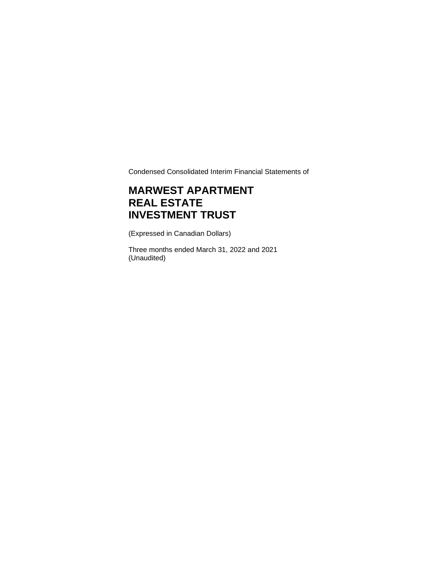Condensed Consolidated Interim Financial Statements of

# **MARWEST APARTMENT REAL ESTATE INVESTMENT TRUST**

(Expressed in Canadian Dollars)

Three months ended March 31, 2022 and 2021 (Unaudited)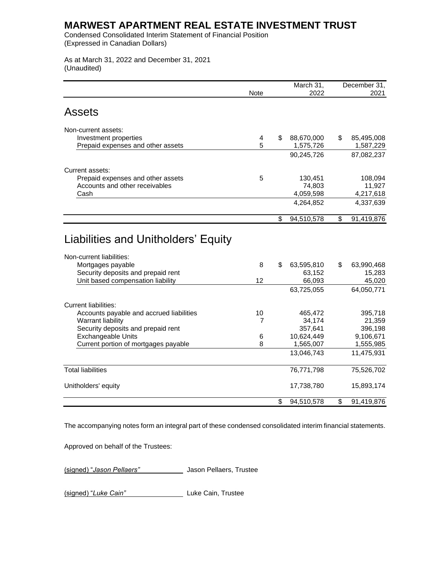Condensed Consolidated Interim Statement of Financial Position (Expressed in Canadian Dollars)

As at March 31, 2022 and December 31, 2021 (Unaudited)

|                                                                                     |                | March 31,                  | December 31,               |
|-------------------------------------------------------------------------------------|----------------|----------------------------|----------------------------|
|                                                                                     | <b>Note</b>    | 2022                       | 2021                       |
| <b>Assets</b>                                                                       |                |                            |                            |
| Non-current assets:                                                                 |                |                            |                            |
| Investment properties                                                               | 4              | \$<br>88,670,000           | \$<br>85,495,008           |
| Prepaid expenses and other assets                                                   | 5              | 1,575,726                  | 1,587,229                  |
|                                                                                     |                | 90,245,726                 | 87,082,237                 |
| Current assets:                                                                     |                |                            |                            |
| Prepaid expenses and other assets                                                   | 5              | 130,451                    | 108,094                    |
| Accounts and other receivables                                                      |                | 74,803                     | 11,927                     |
| Cash                                                                                |                | 4,059,598                  | 4,217,618                  |
|                                                                                     |                | 4,264,852                  | 4,337,639                  |
|                                                                                     |                | \$<br>94,510,578           | \$<br>91,419,876           |
| Non-current liabilities:<br>Mortgages payable<br>Security deposits and prepaid rent | 8              | \$<br>63,595,810<br>63,152 | \$<br>63,990,468<br>15,283 |
| Unit based compensation liability                                                   | 12             | 66,093                     | 45,020                     |
|                                                                                     |                | 63,725,055                 | 64,050,771                 |
| <b>Current liabilities:</b>                                                         |                |                            |                            |
| Accounts payable and accrued liabilities                                            | 10             | 465,472                    | 395,718                    |
| <b>Warrant liability</b>                                                            | $\overline{7}$ | 34,174                     | 21,359                     |
| Security deposits and prepaid rent                                                  |                | 357,641                    | 396,198                    |
| <b>Exchangeable Units</b>                                                           | 6              | 10,624,449                 | 9,106,671                  |
| Current portion of mortgages payable                                                | 8              | 1,565,007                  | 1,555,985                  |
|                                                                                     |                | 13,046,743                 | 11,475,931                 |
| <b>Total liabilities</b>                                                            |                | 76,771,798                 | 75,526,702                 |
| Unitholders' equity                                                                 |                | 17,738,780                 | 15,893,174                 |
|                                                                                     |                | \$<br>94,510,578           | \$<br>91,419,876           |

The accompanying notes form an integral part of these condensed consolidated interim financial statements.

Approved on behalf of the Trustees:

(signed) "*Jason Pellaers"* Jason Pellaers, Trustee

(signed) "*Luke Cain"* Luke Cain, Trustee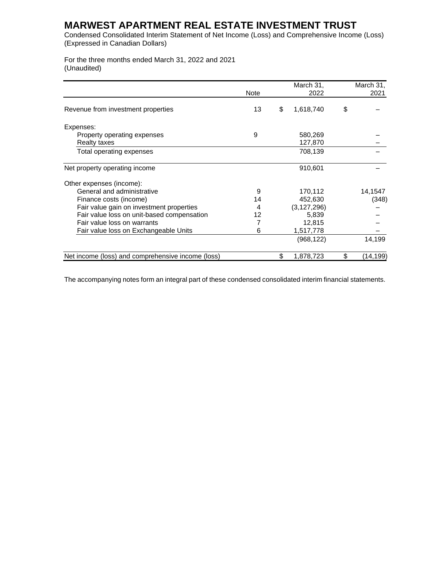Condensed Consolidated Interim Statement of Net Income (Loss) and Comprehensive Income (Loss) (Expressed in Canadian Dollars)

For the three months ended March 31, 2022 and 2021 (Unaudited)

|                                                   |      | March 31,       | March 31,       |
|---------------------------------------------------|------|-----------------|-----------------|
|                                                   | Note | 2022            | 2021            |
| Revenue from investment properties                | 13   | \$<br>1,618,740 | \$              |
| Expenses:                                         |      |                 |                 |
| Property operating expenses                       | 9    | 580,269         |                 |
| Realty taxes                                      |      | 127,870         |                 |
| Total operating expenses                          |      | 708,139         |                 |
| Net property operating income                     |      | 910,601         |                 |
| Other expenses (income):                          |      |                 |                 |
| General and administrative                        | 9    | 170,112         | 14,1547         |
| Finance costs (income)                            | 14   | 452.630         | (348)           |
| Fair value gain on investment properties          | 4    | (3, 127, 296)   |                 |
| Fair value loss on unit-based compensation        | 12   | 5,839           |                 |
| Fair value loss on warrants                       | 7    | 12,815          |                 |
| Fair value loss on Exchangeable Units             | 6    | 1,517,778       |                 |
|                                                   |      | (968, 122)      | 14,199          |
| Net income (loss) and comprehensive income (loss) |      | \$<br>1,878,723 | \$<br>(14, 199) |

The accompanying notes form an integral part of these condensed consolidated interim financial statements.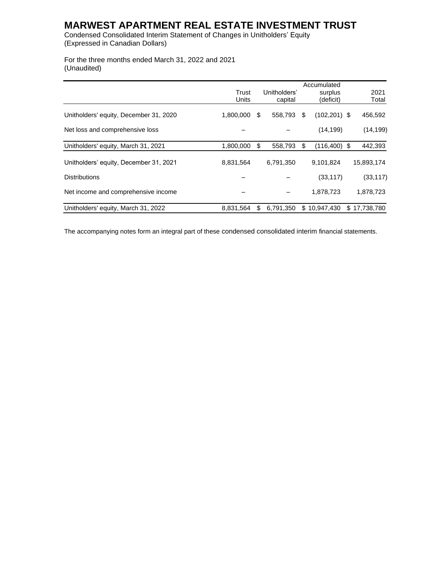Condensed Consolidated Interim Statement of Changes in Unitholders' Equity (Expressed in Canadian Dollars)

For the three months ended March 31, 2022 and 2021 (Unaudited)

|                                        |           |     |              |    | Accumulated     |              |
|----------------------------------------|-----------|-----|--------------|----|-----------------|--------------|
|                                        | Trust     |     | Unitholders' |    | surplus         | 2021         |
|                                        | Units     |     | capital      |    | (deficit)       | Total        |
| Unitholders' equity, December 31, 2020 | 1,800,000 | S.  | 558,793      | S  | $(102, 201)$ \$ | 456,592      |
| Net loss and comprehensive loss        |           |     |              |    | (14, 199)       | (14, 199)    |
| Unitholders' equity, March 31, 2021    | 1,800,000 | \$. | 558,793      | \$ | $(116, 400)$ \$ | 442,393      |
| Unitholders' equity, December 31, 2021 | 8,831,564 |     | 6,791,350    |    | 9,101,824       | 15,893,174   |
| <b>Distributions</b>                   |           |     |              |    | (33, 117)       | (33, 117)    |
| Net income and comprehensive income    |           |     |              |    | 1,878,723       | 1,878,723    |
| Unitholders' equity, March 31, 2022    | 8,831,564 | \$. | 6,791,350    |    | \$10,947,430    | \$17,738,780 |

The accompanying notes form an integral part of these condensed consolidated interim financial statements.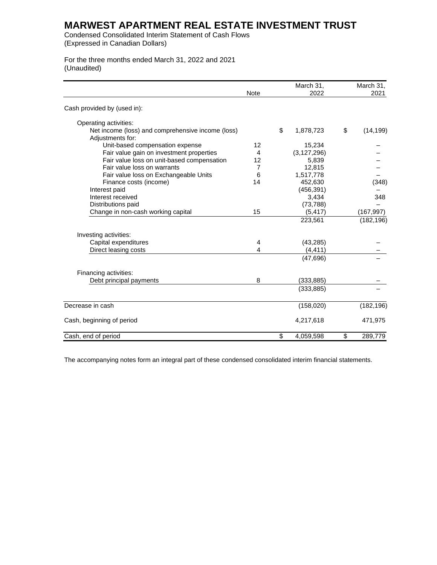Condensed Consolidated Interim Statement of Cash Flows (Expressed in Canadian Dollars)

For the three months ended March 31, 2022 and 2021 (Unaudited)

|                                                                       | Note | March 31,<br>2022 | March 31,<br>2021 |
|-----------------------------------------------------------------------|------|-------------------|-------------------|
| Cash provided by (used in):                                           |      |                   |                   |
| Operating activities:                                                 |      |                   |                   |
| Net income (loss) and comprehensive income (loss)<br>Adjustments for: |      | \$<br>1,878,723   | \$<br>(14, 199)   |
| Unit-based compensation expense                                       | 12   | 15,234            |                   |
| Fair value gain on investment properties                              | 4    | (3, 127, 296)     |                   |
| Fair value loss on unit-based compensation                            | 12   | 5,839             |                   |
| Fair value loss on warrants                                           | 7    | 12,815            |                   |
| Fair value loss on Exchangeable Units                                 | 6    | 1,517,778         |                   |
| Finance costs (income)                                                | 14   | 452,630           | (348)             |
| Interest paid                                                         |      | (456, 391)        |                   |
| Interest received                                                     |      | 3,434             | 348               |
| Distributions paid                                                    |      | (73, 788)         |                   |
| Change in non-cash working capital                                    | 15   | (5, 417)          | (167, 997)        |
|                                                                       |      | 223,561           | (182, 196)        |
| Investing activities:                                                 |      |                   |                   |
| Capital expenditures                                                  | 4    | (43, 285)         |                   |
| Direct leasing costs                                                  | 4    | (4, 411)          |                   |
|                                                                       |      | (47, 696)         |                   |
| Financing activities:                                                 |      |                   |                   |
| Debt principal payments                                               | 8    | (333, 885)        |                   |
|                                                                       |      | (333, 885)        |                   |
| Decrease in cash                                                      |      | (158,020)         | (182, 196)        |
| Cash, beginning of period                                             |      | 4,217,618         | 471,975           |
| Cash, end of period                                                   |      | \$<br>4,059,598   | \$<br>289,779     |

The accompanying notes form an integral part of these condensed consolidated interim financial statements.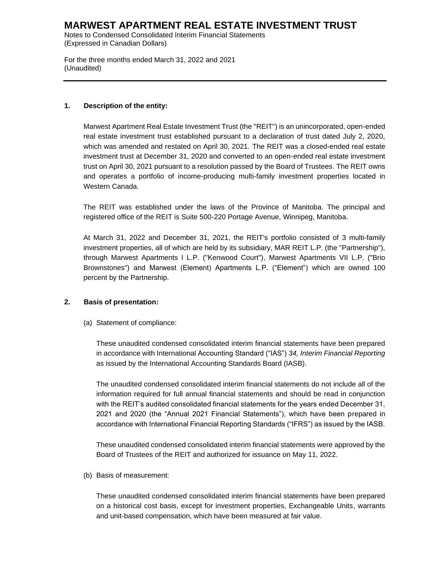Notes to Condensed Consolidated Interim Financial Statements (Expressed in Canadian Dollars)

For the three months ended March 31, 2022 and 2021 (Unaudited)

### **1. Description of the entity:**

Marwest Apartment Real Estate Investment Trust (the "REIT") is an unincorporated, open-ended real estate investment trust established pursuant to a declaration of trust dated July 2, 2020, which was amended and restated on April 30, 2021. The REIT was a closed-ended real estate investment trust at December 31, 2020 and converted to an open-ended real estate investment trust on April 30, 2021 pursuant to a resolution passed by the Board of Trustees. The REIT owns and operates a portfolio of income-producing multi-family investment properties located in Western Canada.

The REIT was established under the laws of the Province of Manitoba. The principal and registered office of the REIT is Suite 500-220 Portage Avenue, Winnipeg, Manitoba.

At March 31, 2022 and December 31, 2021, the REIT's portfolio consisted of 3 multi-family investment properties, all of which are held by its subsidiary, MAR REIT L.P. (the "Partnership"), through Marwest Apartments I L.P. ("Kenwood Court"), Marwest Apartments VII L.P. ("Brio Brownstones") and Marwest (Element) Apartments L.P. ("Element") which are owned 100 percent by the Partnership.

### **2. Basis of presentation:**

(a) Statement of compliance:

These unaudited condensed consolidated interim financial statements have been prepared in accordance with International Accounting Standard ("IAS") *34, Interim Financial Reporting* as issued by the International Accounting Standards Board (IASB).

The unaudited condensed consolidated interim financial statements do not include all of the information required for full annual financial statements and should be read in conjunction with the REIT's audited consolidated financial statements for the years ended December 31, 2021 and 2020 (the "Annual 2021 Financial Statements"), which have been prepared in accordance with International Financial Reporting Standards ("IFRS") as issued by the IASB.

These unaudited condensed consolidated interim financial statements were approved by the Board of Trustees of the REIT and authorized for issuance on May 11, 2022.

(b) Basis of measurement:

These unaudited condensed consolidated interim financial statements have been prepared on a historical cost basis, except for investment properties, Exchangeable Units, warrants and unit-based compensation, which have been measured at fair value.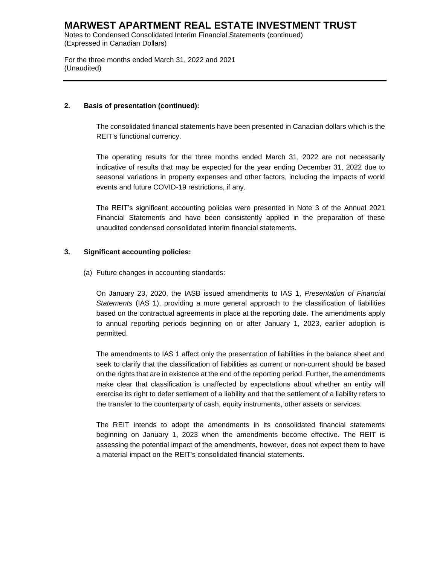Notes to Condensed Consolidated Interim Financial Statements (continued) (Expressed in Canadian Dollars)

For the three months ended March 31, 2022 and 2021 (Unaudited)

### **2. Basis of presentation (continued):**

The consolidated financial statements have been presented in Canadian dollars which is the REIT's functional currency.

The operating results for the three months ended March 31, 2022 are not necessarily indicative of results that may be expected for the year ending December 31, 2022 due to seasonal variations in property expenses and other factors, including the impacts of world events and future COVID-19 restrictions, if any.

The REIT's significant accounting policies were presented in Note 3 of the Annual 2021 Financial Statements and have been consistently applied in the preparation of these unaudited condensed consolidated interim financial statements.

### **3. Significant accounting policies:**

(a) Future changes in accounting standards:

On January 23, 2020, the IASB issued amendments to IAS 1, *Presentation of Financial Statements* (IAS 1), providing a more general approach to the classification of liabilities based on the contractual agreements in place at the reporting date. The amendments apply to annual reporting periods beginning on or after January 1, 2023, earlier adoption is permitted.

The amendments to IAS 1 affect only the presentation of liabilities in the balance sheet and seek to clarify that the classification of liabilities as current or non-current should be based on the rights that are in existence at the end of the reporting period. Further, the amendments make clear that classification is unaffected by expectations about whether an entity will exercise its right to defer settlement of a liability and that the settlement of a liability refers to the transfer to the counterparty of cash, equity instruments, other assets or services.

The REIT intends to adopt the amendments in its consolidated financial statements beginning on January 1, 2023 when the amendments become effective. The REIT is assessing the potential impact of the amendments, however, does not expect them to have a material impact on the REIT's consolidated financial statements.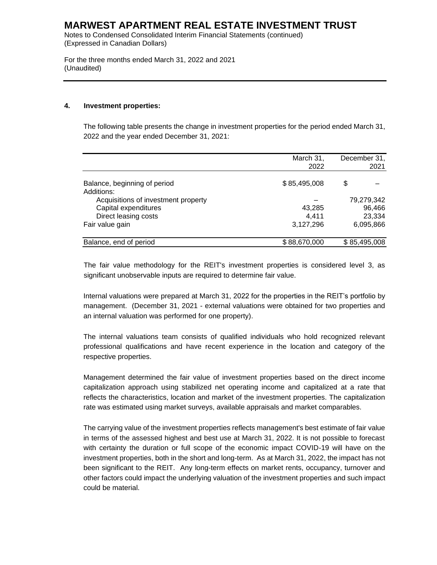Notes to Condensed Consolidated Interim Financial Statements (continued) (Expressed in Canadian Dollars)

For the three months ended March 31, 2022 and 2021 (Unaudited)

#### **4. Investment properties:**

The following table presents the change in investment properties for the period ended March 31, 2022 and the year ended December 31, 2021:

|                                                   | March 31,<br>2022 | December 31,<br>2021 |
|---------------------------------------------------|-------------------|----------------------|
| Balance, beginning of period                      | \$85,495,008      | \$                   |
| Additions:<br>Acquisitions of investment property |                   | 79,279,342           |
| Capital expenditures                              | 43,285            | 96,466               |
| Direct leasing costs                              | 4.411             | 23,334               |
| Fair value gain                                   | 3,127,296         | 6,095,866            |
| Balance, end of period                            | \$88,670,000      | \$85,495,008         |

The fair value methodology for the REIT's investment properties is considered level 3, as significant unobservable inputs are required to determine fair value.

Internal valuations were prepared at March 31, 2022 for the properties in the REIT's portfolio by management. (December 31, 2021 - external valuations were obtained for two properties and an internal valuation was performed for one property).

The internal valuations team consists of qualified individuals who hold recognized relevant professional qualifications and have recent experience in the location and category of the respective properties.

Management determined the fair value of investment properties based on the direct income capitalization approach using stabilized net operating income and capitalized at a rate that reflects the characteristics, location and market of the investment properties. The capitalization rate was estimated using market surveys, available appraisals and market comparables.

The carrying value of the investment properties reflects management's best estimate of fair value in terms of the assessed highest and best use at March 31, 2022. It is not possible to forecast with certainty the duration or full scope of the economic impact COVID-19 will have on the investment properties, both in the short and long-term. As at March 31, 2022, the impact has not been significant to the REIT. Any long-term effects on market rents, occupancy, turnover and other factors could impact the underlying valuation of the investment properties and such impact could be material.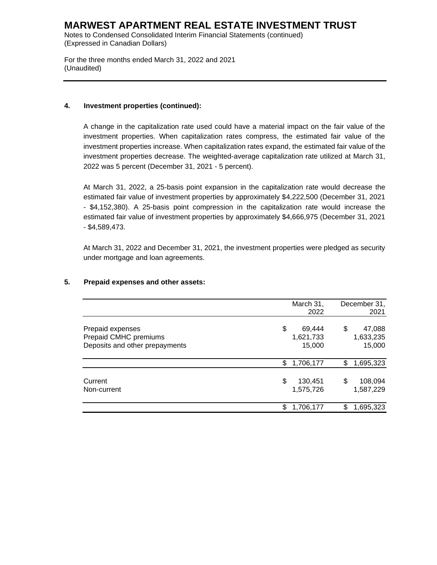Notes to Condensed Consolidated Interim Financial Statements (continued) (Expressed in Canadian Dollars)

For the three months ended March 31, 2022 and 2021 (Unaudited)

#### **4. Investment properties (continued):**

A change in the capitalization rate used could have a material impact on the fair value of the investment properties. When capitalization rates compress, the estimated fair value of the investment properties increase. When capitalization rates expand, the estimated fair value of the investment properties decrease. The weighted-average capitalization rate utilized at March 31, 2022 was 5 percent (December 31, 2021 - 5 percent).

At March 31, 2022, a 25-basis point expansion in the capitalization rate would decrease the estimated fair value of investment properties by approximately \$4,222,500 (December 31, 2021 - \$4,152,380). A 25-basis point compression in the capitalization rate would increase the estimated fair value of investment properties by approximately \$4,666,975 (December 31, 2021 - \$4,589,473.

At March 31, 2022 and December 31, 2021, the investment properties were pledged as security under mortgage and loan agreements.

|                                                                             | March 31,<br>2022                   |    | December 31,<br>2021          |
|-----------------------------------------------------------------------------|-------------------------------------|----|-------------------------------|
| Prepaid expenses<br>Prepaid CMHC premiums<br>Deposits and other prepayments | \$<br>69,444<br>1,621,733<br>15,000 | \$ | 47,088<br>1,633,235<br>15,000 |
|                                                                             | \$<br>1,706,177                     | \$ | 1,695,323                     |
| Current<br>Non-current                                                      | \$<br>130,451<br>1,575,726          | S  | 108,094<br>1,587,229          |
|                                                                             | \$<br>1,706,177                     | \$ | 1,695,323                     |

### **5. Prepaid expenses and other assets:**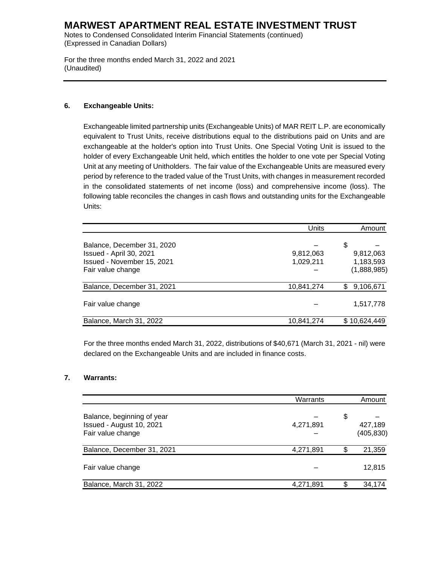Notes to Condensed Consolidated Interim Financial Statements (continued) (Expressed in Canadian Dollars)

For the three months ended March 31, 2022 and 2021 (Unaudited)

### **6. Exchangeable Units:**

Exchangeable limited partnership units (Exchangeable Units) of MAR REIT L.P. are economically equivalent to Trust Units, receive distributions equal to the distributions paid on Units and are exchangeable at the holder's option into Trust Units. One Special Voting Unit is issued to the holder of every Exchangeable Unit held, which entitles the holder to one vote per Special Voting Unit at any meeting of Unitholders. The fair value of the Exchangeable Units are measured every period by reference to the traded value of the Trust Units, with changes in measurement recorded in the consolidated statements of net income (loss) and comprehensive income (loss). The following table reconciles the changes in cash flows and outstanding units for the Exchangeable Units:

|                                                                                                          | Units                  | Amount                                      |
|----------------------------------------------------------------------------------------------------------|------------------------|---------------------------------------------|
| Balance, December 31, 2020<br>Issued - April 30, 2021<br>Issued - November 15, 2021<br>Fair value change | 9,812,063<br>1,029,211 | \$<br>9,812,063<br>1,183,593<br>(1,888,985) |
| Balance, December 31, 2021                                                                               | 10,841,274             | 9,106,671<br>\$.                            |
| Fair value change                                                                                        |                        | 1,517,778                                   |
| Balance, March 31, 2022                                                                                  | 10,841,274             | \$10,624,449                                |

For the three months ended March 31, 2022, distributions of \$40,671 (March 31, 2021 - nil) were declared on the Exchangeable Units and are included in finance costs.

#### **7. Warrants:**

|                                                                             | Warrants  |    | Amount                |
|-----------------------------------------------------------------------------|-----------|----|-----------------------|
| Balance, beginning of year<br>Issued - August 10, 2021<br>Fair value change | 4,271,891 | \$ | 427,189<br>(405, 830) |
| Balance, December 31, 2021                                                  | 4,271,891 |    | 21,359                |
| Fair value change                                                           |           |    | 12,815                |
| Balance, March 31, 2022                                                     | 4,271,891 | S. | 34,174                |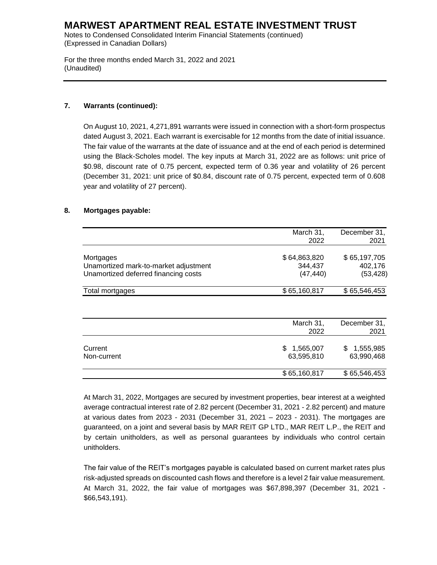Notes to Condensed Consolidated Interim Financial Statements (continued) (Expressed in Canadian Dollars)

For the three months ended March 31, 2022 and 2021 (Unaudited)

### **7. Warrants (continued):**

On August 10, 2021, 4,271,891 warrants were issued in connection with a short-form prospectus dated August 3, 2021. Each warrant is exercisable for 12 months from the date of initial issuance. The fair value of the warrants at the date of issuance and at the end of each period is determined using the Black-Scholes model. The key inputs at March 31, 2022 are as follows: unit price of \$0.98, discount rate of 0.75 percent, expected term of 0.36 year and volatility of 26 percent (December 31, 2021: unit price of \$0.84, discount rate of 0.75 percent, expected term of 0.608 year and volatility of 27 percent).

### **8. Mortgages payable:**

|                                       | March 31,<br>December 31, |                 |  |  |  |  |
|---------------------------------------|---------------------------|-----------------|--|--|--|--|
|                                       | 2022                      | 2021            |  |  |  |  |
| Mortgages                             | \$64,863,820              | \$65,197,705    |  |  |  |  |
| Unamortized mark-to-market adjustment | 344,437                   | 402,176         |  |  |  |  |
| Unamortized deferred financing costs  | (47, 440)                 | (53, 428)       |  |  |  |  |
| Total mortgages                       | \$65,160,817              | \$65,546,453    |  |  |  |  |
|                                       |                           |                 |  |  |  |  |
|                                       | March 31,                 | December 31,    |  |  |  |  |
|                                       | 2022                      | 2021            |  |  |  |  |
| Current                               | 1,565,007<br>\$.          | 1,555,985<br>\$ |  |  |  |  |
| Non-current                           | 63,595,810                | 63,990,468      |  |  |  |  |
|                                       | \$65,160,817              | \$65,546,453    |  |  |  |  |

At March 31, 2022, Mortgages are secured by investment properties, bear interest at a weighted average contractual interest rate of 2.82 percent (December 31, 2021 - 2.82 percent) and mature at various dates from 2023 - 2031 (December 31, 2021 – 2023 - 2031). The mortgages are guaranteed, on a joint and several basis by MAR REIT GP LTD., MAR REIT L.P., the REIT and by certain unitholders, as well as personal guarantees by individuals who control certain unitholders.

The fair value of the REIT's mortgages payable is calculated based on current market rates plus risk-adjusted spreads on discounted cash flows and therefore is a level 2 fair value measurement. At March 31, 2022, the fair value of mortgages was \$67,898,397 (December 31, 2021 - \$66,543,191).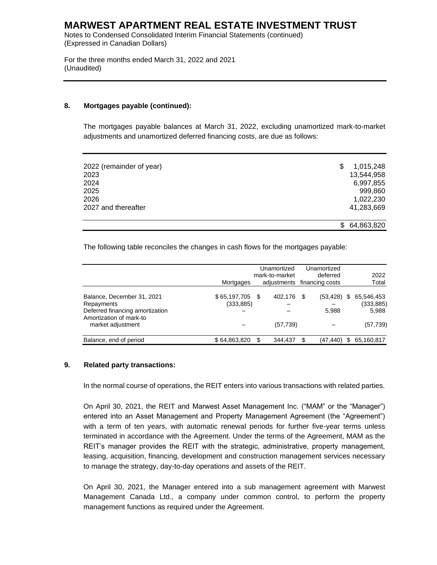Notes to Condensed Consolidated Interim Financial Statements (continued) (Expressed in Canadian Dollars)

For the three months ended March 31, 2022 and 2021 (Unaudited)

#### **8. Mortgages payable (continued):**

The mortgages payable balances at March 31, 2022, excluding unamortized mark-to-market adjustments and unamortized deferred financing costs, are due as follows:

| 2022 (remainder of year)<br>2023<br>2024<br>2025<br>2026 | S  | 1,015,248<br>13,544,958<br>6,997,855<br>999,860<br>1,022,230 |
|----------------------------------------------------------|----|--------------------------------------------------------------|
| 2027 and thereafter                                      |    | 41,283,669                                                   |
|                                                          | S. | 64,863,820                                                   |

The following table reconciles the changes in cash flows for the mortgages payable:

|                                 |              |    | Unamortized                 | Unamortized    |     |            |
|---------------------------------|--------------|----|-----------------------------|----------------|-----|------------|
|                                 |              |    | mark-to-market              | deferred       |     | 2022       |
|                                 | Mortgages    |    | adjustments financing costs |                |     | Total      |
|                                 |              |    |                             |                |     |            |
| Balance, December 31, 2021      | \$65,197,705 | -S | 402.176                     | \$<br>(53,428) | \$  | 65,546,453 |
| Repayments                      | (333, 885)   |    |                             |                |     | (333, 885) |
| Deferred financing amortization |              |    |                             | 5,988          |     | 5,988      |
| Amortization of mark-to         |              |    |                             |                |     |            |
| market adjustment               |              |    | (57,739)                    |                |     | (57, 739)  |
|                                 |              |    |                             |                |     |            |
| Balance, end of period          | \$64,863,820 |    | 344.437                     | \$<br>(47,440) | \$. | 65,160,817 |

#### **9. Related party transactions:**

In the normal course of operations, the REIT enters into various transactions with related parties.

On April 30, 2021, the REIT and Marwest Asset Management Inc. ("MAM" or the "Manager") entered into an Asset Management and Property Management Agreement (the "Agreement") with a term of ten years, with automatic renewal periods for further five-year terms unless terminated in accordance with the Agreement. Under the terms of the Agreement, MAM as the REIT's manager provides the REIT with the strategic, administrative, property management, leasing, acquisition, financing, development and construction management services necessary to manage the strategy, day-to-day operations and assets of the REIT.

On April 30, 2021, the Manager entered into a sub management agreement with Marwest Management Canada Ltd., a company under common control, to perform the property management functions as required under the Agreement.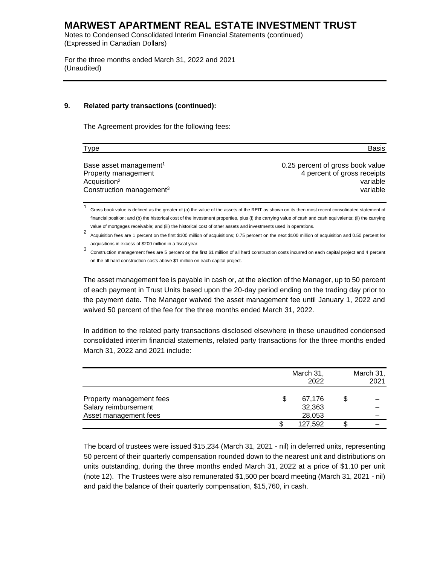Notes to Condensed Consolidated Interim Financial Statements (continued) (Expressed in Canadian Dollars)

For the three months ended March 31, 2022 and 2021 (Unaudited)

#### **9. Related party transactions (continued):**

The Agreement provides for the following fees:

| <b>Type</b>                          | <b>Basis</b>                     |
|--------------------------------------|----------------------------------|
| Base asset management <sup>1</sup>   | 0.25 percent of gross book value |
| Property management                  | 4 percent of gross receipts      |
| Acquisition <sup>2</sup>             | variable                         |
| Construction management <sup>3</sup> | variable                         |

1 Gross book value is defined as the greater of (a) the value of the assets of the REIT as shown on its then most recent consolidated statement of financial position; and (b) the historical cost of the investment properties, plus (i) the carrying value of cash and cash equivalents; (ii) the carrying value of mortgages receivable; and (iii) the historical cost of other assets and investments used in operations.

2 Acquisition fees are 1 percent on the first \$100 million of acquisitions; 0.75 percent on the next \$100 million of acquisition and 0.50 percent for acquisitions in excess of \$200 million in a fiscal year.

3 Construction management fees are 5 percent on the first \$1 million of all hard construction costs incurred on each capital project and 4 percent on the all hard construction costs above \$1 million on each capital project.

The asset management fee is payable in cash or, at the election of the Manager, up to 50 percent of each payment in Trust Units based upon the 20-day period ending on the trading day prior to the payment date. The Manager waived the asset management fee until January 1, 2022 and waived 50 percent of the fee for the three months ended March 31, 2022.

In addition to the related party transactions disclosed elsewhere in these unaudited condensed consolidated interim financial statements, related party transactions for the three months ended March 31, 2022 and 2021 include:

|                          | March 31,<br>2022 | March 31,<br>2021 |  |  |
|--------------------------|-------------------|-------------------|--|--|
|                          |                   |                   |  |  |
| Property management fees | 67,176            |                   |  |  |
| Salary reimbursement     | 32,363            |                   |  |  |
| Asset management fees    | 28,053            |                   |  |  |
|                          | 127,592           |                   |  |  |

The board of trustees were issued \$15,234 (March 31, 2021 - nil) in deferred units, representing 50 percent of their quarterly compensation rounded down to the nearest unit and distributions on units outstanding, during the three months ended March 31, 2022 at a price of \$1.10 per unit (note 12). The Trustees were also remunerated \$1,500 per board meeting (March 31, 2021 - nil) and paid the balance of their quarterly compensation, \$15,760, in cash.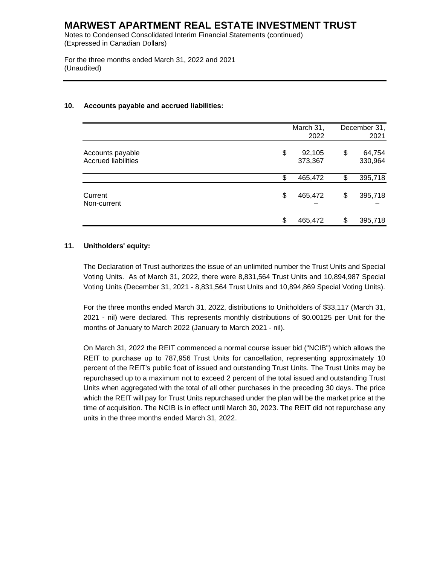Notes to Condensed Consolidated Interim Financial Statements (continued) (Expressed in Canadian Dollars)

For the three months ended March 31, 2022 and 2021 (Unaudited)

### **10. Accounts payable and accrued liabilities:**

|                                                | March 31,<br>2022       |    | December 31,<br>2021 |
|------------------------------------------------|-------------------------|----|----------------------|
| Accounts payable<br><b>Accrued liabilities</b> | \$<br>92,105<br>373,367 | \$ | 64,754<br>330,964    |
|                                                | \$<br>465,472           | \$ | 395,718              |
| Current<br>Non-current                         | \$<br>465,472           | \$ | 395,718              |
|                                                | \$<br>465,472           | S  | 395,718              |

### **11. Unitholders' equity:**

The Declaration of Trust authorizes the issue of an unlimited number the Trust Units and Special Voting Units. As of March 31, 2022, there were 8,831,564 Trust Units and 10,894,987 Special Voting Units (December 31, 2021 - 8,831,564 Trust Units and 10,894,869 Special Voting Units).

For the three months ended March 31, 2022, distributions to Unitholders of \$33,117 (March 31, 2021 - nil) were declared. This represents monthly distributions of \$0.00125 per Unit for the months of January to March 2022 (January to March 2021 - nil).

On March 31, 2022 the REIT commenced a normal course issuer bid ("NCIB") which allows the REIT to purchase up to 787,956 Trust Units for cancellation, representing approximately 10 percent of the REIT's public float of issued and outstanding Trust Units. The Trust Units may be repurchased up to a maximum not to exceed 2 percent of the total issued and outstanding Trust Units when aggregated with the total of all other purchases in the preceding 30 days. The price which the REIT will pay for Trust Units repurchased under the plan will be the market price at the time of acquisition. The NCIB is in effect until March 30, 2023. The REIT did not repurchase any units in the three months ended March 31, 2022.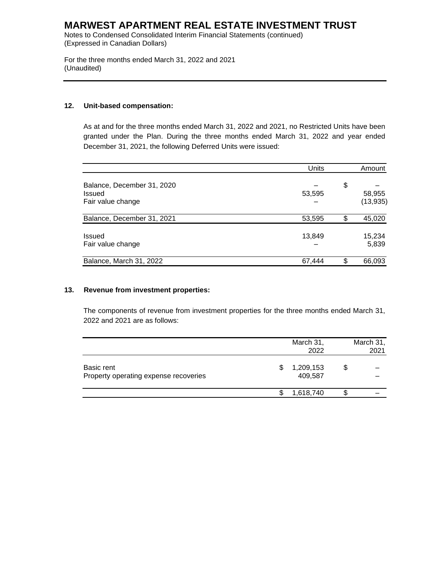Notes to Condensed Consolidated Interim Financial Statements (continued) (Expressed in Canadian Dollars)

For the three months ended March 31, 2022 and 2021 (Unaudited)

### **12. Unit-based compensation:**

As at and for the three months ended March 31, 2022 and 2021, no Restricted Units have been granted under the Plan. During the three months ended March 31, 2022 and year ended December 31, 2021, the following Deferred Units were issued:

|                                                                  | Units  | Amount                    |  |
|------------------------------------------------------------------|--------|---------------------------|--|
| Balance, December 31, 2020<br><b>Issued</b><br>Fair value change | 53,595 | \$<br>58,955<br>(13, 935) |  |
| Balance, December 31, 2021                                       | 53,595 | \$<br>45,020              |  |
| <b>Issued</b><br>Fair value change                               | 13,849 | 15,234<br>5,839           |  |
| Balance, March 31, 2022                                          | 67,444 | 66,093                    |  |

#### **13. Revenue from investment properties:**

The components of revenue from investment properties for the three months ended March 31, 2022 and 2021 are as follows:

|                                                     | March 31,<br>2022    | March 31,<br>2021 |
|-----------------------------------------------------|----------------------|-------------------|
| Basic rent<br>Property operating expense recoveries | 1,209,153<br>409,587 |                   |
|                                                     | 1,618,740            |                   |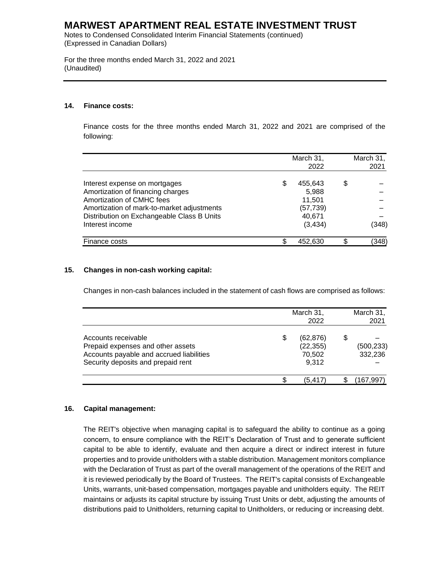Notes to Condensed Consolidated Interim Financial Statements (continued) (Expressed in Canadian Dollars)

For the three months ended March 31, 2022 and 2021 (Unaudited)

#### **14. Finance costs:**

Finance costs for the three months ended March 31, 2022 and 2021 are comprised of the following:

|                                            | March 31,<br>2022 |    | March 31,<br>2021 |
|--------------------------------------------|-------------------|----|-------------------|
| Interest expense on mortgages              | \$<br>455,643     | \$ |                   |
| Amortization of financing charges          | 5,988             |    |                   |
| Amortization of CMHC fees                  | 11,501            |    |                   |
| Amortization of mark-to-market adjustments | (57, 739)         |    |                   |
| Distribution on Exchangeable Class B Units | 40,671            |    |                   |
| Interest income                            | (3, 434)          |    | (348)             |
| Finance costs                              | 452,630           | £. | (348)             |

#### **15. Changes in non-cash working capital:**

Changes in non-cash balances included in the statement of cash flows are comprised as follows:

|                                                                                                                                            |    | March 31,<br>2022                         |    |                       |
|--------------------------------------------------------------------------------------------------------------------------------------------|----|-------------------------------------------|----|-----------------------|
| Accounts receivable<br>Prepaid expenses and other assets<br>Accounts payable and accrued liabilities<br>Security deposits and prepaid rent | \$ | (62, 876)<br>(22, 355)<br>70,502<br>9.312 | \$ | (500, 233)<br>332,236 |
|                                                                                                                                            | S. | (5, 417)                                  | S  | (167,997)             |

#### **16. Capital management:**

The REIT's objective when managing capital is to safeguard the ability to continue as a going concern, to ensure compliance with the REIT's Declaration of Trust and to generate sufficient capital to be able to identify, evaluate and then acquire a direct or indirect interest in future properties and to provide unitholders with a stable distribution. Management monitors compliance with the Declaration of Trust as part of the overall management of the operations of the REIT and it is reviewed periodically by the Board of Trustees. The REIT's capital consists of Exchangeable Units, warrants, unit-based compensation, mortgages payable and unitholders equity. The REIT maintains or adjusts its capital structure by issuing Trust Units or debt, adjusting the amounts of distributions paid to Unitholders, returning capital to Unitholders, or reducing or increasing debt.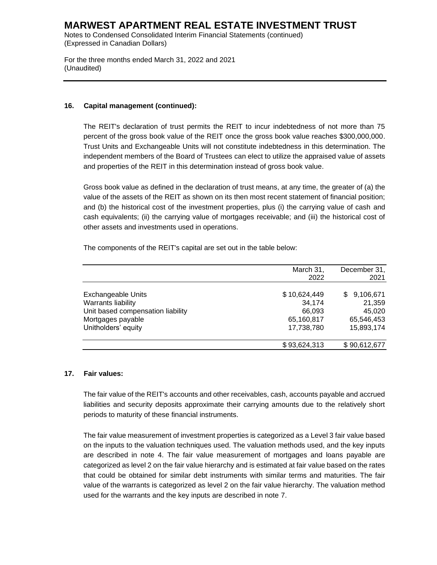Notes to Condensed Consolidated Interim Financial Statements (continued) (Expressed in Canadian Dollars)

For the three months ended March 31, 2022 and 2021 (Unaudited)

#### **16. Capital management (continued):**

The REIT's declaration of trust permits the REIT to incur indebtedness of not more than 75 percent of the gross book value of the REIT once the gross book value reaches \$300,000,000. Trust Units and Exchangeable Units will not constitute indebtedness in this determination. The independent members of the Board of Trustees can elect to utilize the appraised value of assets and properties of the REIT in this determination instead of gross book value.

Gross book value as defined in the declaration of trust means, at any time, the greater of (a) the value of the assets of the REIT as shown on its then most recent statement of financial position; and (b) the historical cost of the investment properties, plus (i) the carrying value of cash and cash equivalents; (ii) the carrying value of mortgages receivable; and (iii) the historical cost of other assets and investments used in operations.

The components of the REIT's capital are set out in the table below:

|                                   | March 31,    | December 31,   |
|-----------------------------------|--------------|----------------|
|                                   | 2022         | 2021           |
| <b>Exchangeable Units</b>         | \$10,624,449 | 9,106,671<br>S |
| Warrants liability                | 34,174       | 21,359         |
| Unit based compensation liability | 66,093       | 45,020         |
| Mortgages payable                 | 65,160,817   | 65,546,453     |
| Unitholders' equity               | 17,738,780   | 15,893,174     |
|                                   | \$93,624,313 | \$90,612,677   |

#### **17. Fair values:**

The fair value of the REIT's accounts and other receivables, cash, accounts payable and accrued liabilities and security deposits approximate their carrying amounts due to the relatively short periods to maturity of these financial instruments.

The fair value measurement of investment properties is categorized as a Level 3 fair value based on the inputs to the valuation techniques used. The valuation methods used, and the key inputs are described in note 4. The fair value measurement of mortgages and loans payable are categorized as level 2 on the fair value hierarchy and is estimated at fair value based on the rates that could be obtained for similar debt instruments with similar terms and maturities. The fair value of the warrants is categorized as level 2 on the fair value hierarchy. The valuation method used for the warrants and the key inputs are described in note 7.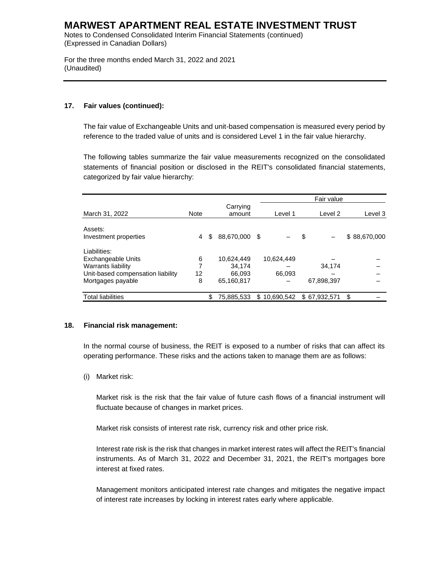Notes to Condensed Consolidated Interim Financial Statements (continued) (Expressed in Canadian Dollars)

For the three months ended March 31, 2022 and 2021 (Unaudited)

### **17. Fair values (continued):**

The fair value of Exchangeable Units and unit-based compensation is measured every period by reference to the traded value of units and is considered Level 1 in the fair value hierarchy.

The following tables summarize the fair value measurements recognized on the consolidated statements of financial position or disclosed in the REIT's consolidated financial statements, categorized by fair value hierarchy:

|                                   |             |                     |     |            | Fair value   |              |
|-----------------------------------|-------------|---------------------|-----|------------|--------------|--------------|
| March 31, 2022                    | <b>Note</b> | Carrying<br>amount  |     | Level 1    | Level 2      | Level 3      |
| Assets:                           |             |                     |     |            |              |              |
| Investment properties             | 4           | \$<br>88,670,000 \$ |     |            | \$           | \$88,670,000 |
| Liabilities:                      |             |                     |     |            |              |              |
| Exchangeable Units                | 6           | 10.624.449          |     | 10.624.449 |              |              |
| Warrants liability                |             | 34.174              |     |            | 34.174       |              |
| Unit-based compensation liability | 12          | 66,093              |     | 66,093     |              |              |
| Mortgages payable                 | 8           | 65,160,817          |     |            | 67,898,397   |              |
| <b>Total liabilities</b>          |             | \$<br>75,885,533    | \$. | 10,690,542 | \$67.932.571 | \$           |

#### **18. Financial risk management:**

In the normal course of business, the REIT is exposed to a number of risks that can affect its operating performance. These risks and the actions taken to manage them are as follows:

(i) Market risk:

Market risk is the risk that the fair value of future cash flows of a financial instrument will fluctuate because of changes in market prices.

Market risk consists of interest rate risk, currency risk and other price risk.

Interest rate risk is the risk that changes in market interest rates will affect the REIT's financial instruments. As of March 31, 2022 and December 31, 2021, the REIT's mortgages bore interest at fixed rates.

Management monitors anticipated interest rate changes and mitigates the negative impact of interest rate increases by locking in interest rates early where applicable.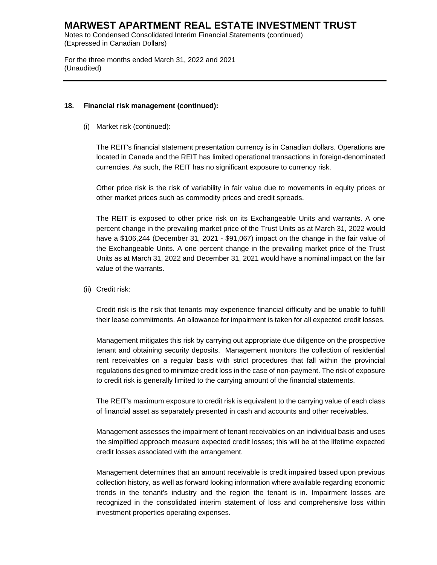Notes to Condensed Consolidated Interim Financial Statements (continued) (Expressed in Canadian Dollars)

For the three months ended March 31, 2022 and 2021 (Unaudited)

#### **18. Financial risk management (continued):**

(i) Market risk (continued):

The REIT's financial statement presentation currency is in Canadian dollars. Operations are located in Canada and the REIT has limited operational transactions in foreign-denominated currencies. As such, the REIT has no significant exposure to currency risk.

Other price risk is the risk of variability in fair value due to movements in equity prices or other market prices such as commodity prices and credit spreads.

The REIT is exposed to other price risk on its Exchangeable Units and warrants. A one percent change in the prevailing market price of the Trust Units as at March 31, 2022 would have a \$106,244 (December 31, 2021 - \$91,067) impact on the change in the fair value of the Exchangeable Units. A one percent change in the prevailing market price of the Trust Units as at March 31, 2022 and December 31, 2021 would have a nominal impact on the fair value of the warrants.

(ii) Credit risk:

Credit risk is the risk that tenants may experience financial difficulty and be unable to fulfill their lease commitments. An allowance for impairment is taken for all expected credit losses.

Management mitigates this risk by carrying out appropriate due diligence on the prospective tenant and obtaining security deposits. Management monitors the collection of residential rent receivables on a regular basis with strict procedures that fall within the provincial regulations designed to minimize credit loss in the case of non-payment. The risk of exposure to credit risk is generally limited to the carrying amount of the financial statements.

The REIT's maximum exposure to credit risk is equivalent to the carrying value of each class of financial asset as separately presented in cash and accounts and other receivables.

Management assesses the impairment of tenant receivables on an individual basis and uses the simplified approach measure expected credit losses; this will be at the lifetime expected credit losses associated with the arrangement.

Management determines that an amount receivable is credit impaired based upon previous collection history, as well as forward looking information where available regarding economic trends in the tenant's industry and the region the tenant is in. Impairment losses are recognized in the consolidated interim statement of loss and comprehensive loss within investment properties operating expenses.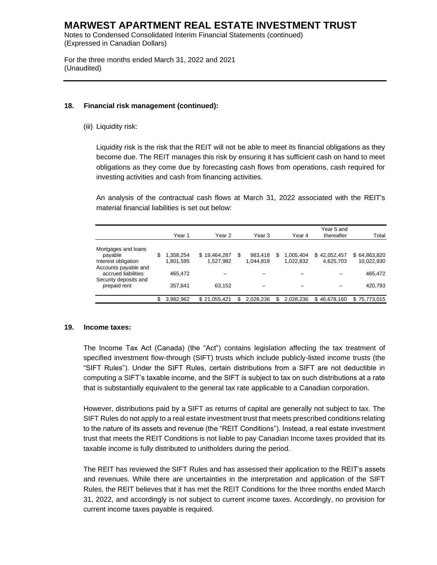Notes to Condensed Consolidated Interim Financial Statements (continued) (Expressed in Canadian Dollars)

For the three months ended March 31, 2022 and 2021 (Unaudited)

#### **18. Financial risk management (continued):**

(iii) Liquidity risk:

Liquidity risk is the risk that the REIT will not be able to meet its financial obligations as they become due. The REIT manages this risk by ensuring it has sufficient cash on hand to meet obligations as they come due by forecasting cash flows from operations, cash required for investing activities and cash from financing activities.

An analysis of the contractual cash flows at March 31, 2022 associated with the REIT's material financial liabilities is set out below:

|                                                                      | Year 1                       | Year 2                    | Year 3               |    | Year 4                 | Year 5 and<br>thereafter  | Total                      |
|----------------------------------------------------------------------|------------------------------|---------------------------|----------------------|----|------------------------|---------------------------|----------------------------|
| Mortgages and loans<br>payable<br>Interest obligation                | \$<br>1,358,254<br>1,801,595 | \$19,464,287<br>1,527,982 | 983.418<br>1.044.818 | S. | 1.005.404<br>1.022.832 | \$42,052,457<br>4.625.703 | \$64,863,820<br>10,022,930 |
| Accounts payable and<br>accrued liabilities<br>Security deposits and | 465.472                      |                           |                      |    |                        |                           | 465,472                    |
| prepaid rent                                                         | 357,641                      | 63.152                    |                      |    |                        |                           | 420,793                    |
|                                                                      | \$<br>3.982.962              | \$21.055.421              | 2.028.236            |    | 2.028.236              | \$46.678.160              | \$75,773,015               |

#### **19. Income taxes:**

The Income Tax Act (Canada) (the "Act") contains legislation affecting the tax treatment of specified investment flow-through (SIFT) trusts which include publicly-listed income trusts (the "SIFT Rules"). Under the SIFT Rules, certain distributions from a SIFT are not deductible in computing a SIFT's taxable income, and the SIFT is subject to tax on such distributions at a rate that is substantially equivalent to the general tax rate applicable to a Canadian corporation.

However, distributions paid by a SIFT as returns of capital are generally not subject to tax. The SIFT Rules do not apply to a real estate investment trust that meets prescribed conditions relating to the nature of its assets and revenue (the "REIT Conditions"). Instead, a real estate investment trust that meets the REIT Conditions is not liable to pay Canadian Income taxes provided that its taxable income is fully distributed to unitholders during the period.

The REIT has reviewed the SIFT Rules and has assessed their application to the REIT's assets and revenues. While there are uncertainties in the interpretation and application of the SIFT Rules, the REIT believes that it has met the REIT Conditions for the three months ended March 31, 2022, and accordingly is not subject to current income taxes. Accordingly, no provision for current income taxes payable is required.